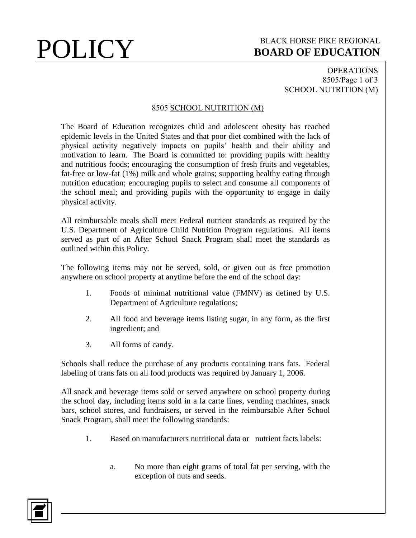### **POLICY** BLACK HORSE PIKE REGIONAL **BOARD OF EDUCATION BOARD OF EDUCATION**

OPERATIONS 8505/Page 1 of 3 SCHOOL NUTRITION (M)

### 8505 SCHOOL NUTRITION (M)

The Board of Education recognizes child and adolescent obesity has reached epidemic levels in the United States and that poor diet combined with the lack of physical activity negatively impacts on pupils' health and their ability and motivation to learn. The Board is committed to: providing pupils with healthy and nutritious foods; encouraging the consumption of fresh fruits and vegetables, fat-free or low-fat (1%) milk and whole grains; supporting healthy eating through nutrition education; encouraging pupils to select and consume all components of the school meal; and providing pupils with the opportunity to engage in daily physical activity.

All reimbursable meals shall meet Federal nutrient standards as required by the U.S. Department of Agriculture Child Nutrition Program regulations. All items served as part of an After School Snack Program shall meet the standards as outlined within this Policy.

The following items may not be served, sold, or given out as free promotion anywhere on school property at anytime before the end of the school day:

- 1. Foods of minimal nutritional value (FMNV) as defined by U.S. Department of Agriculture regulations;
- 2. All food and beverage items listing sugar, in any form, as the first ingredient; and
- 3. All forms of candy.

Schools shall reduce the purchase of any products containing trans fats. Federal labeling of trans fats on all food products was required by January 1, 2006.

All snack and beverage items sold or served anywhere on school property during the school day, including items sold in a la carte lines, vending machines, snack bars, school stores, and fundraisers, or served in the reimbursable After School Snack Program, shall meet the following standards:

- 1. Based on manufacturers nutritional data or nutrient facts labels:
	- a. No more than eight grams of total fat per serving, with the exception of nuts and seeds.

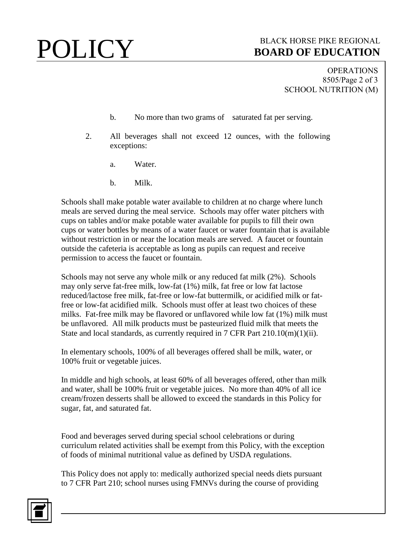# **POLICY** BLACK HORSE PIKE REGIONAL **BOARD OF EDUCATION BOARD OF EDUCATION**

OPERATIONS 8505/Page 2 of 3 SCHOOL NUTRITION (M)

- b. No more than two grams of saturated fat per serving.
- 2. All beverages shall not exceed 12 ounces, with the following exceptions:
	- a. Water.
	- b. Milk.

Schools shall make potable water available to children at no charge where lunch meals are served during the meal service. Schools may offer water pitchers with cups on tables and/or make potable water available for pupils to fill their own cups or water bottles by means of a water faucet or water fountain that is available without restriction in or near the location meals are served. A faucet or fountain outside the cafeteria is acceptable as long as pupils can request and receive permission to access the faucet or fountain.

Schools may not serve any whole milk or any reduced fat milk (2%). Schools may only serve fat-free milk, low-fat (1%) milk, fat free or low fat lactose reduced/lactose free milk, fat-free or low-fat buttermilk, or acidified milk or fatfree or low-fat acidified milk. Schools must offer at least two choices of these milks. Fat-free milk may be flavored or unflavored while low fat (1%) milk must be unflavored. All milk products must be pasteurized fluid milk that meets the State and local standards, as currently required in 7 CFR Part 210.10(m)(1)(ii).

In elementary schools, 100% of all beverages offered shall be milk, water, or 100% fruit or vegetable juices.

In middle and high schools, at least 60% of all beverages offered, other than milk and water, shall be 100% fruit or vegetable juices. No more than 40% of all ice cream/frozen desserts shall be allowed to exceed the standards in this Policy for sugar, fat, and saturated fat.

Food and beverages served during special school celebrations or during curriculum related activities shall be exempt from this Policy, with the exception of foods of minimal nutritional value as defined by USDA regulations.

This Policy does not apply to: medically authorized special needs diets pursuant to 7 CFR Part 210; school nurses using FMNVs during the course of providing